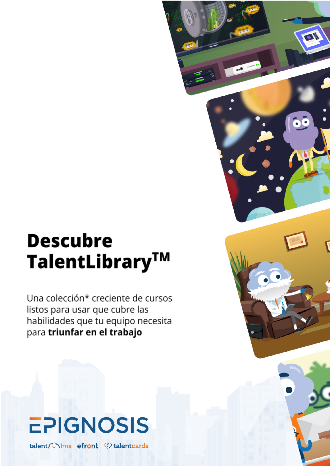# **Descubre** TalentLibrary™

 $\bullet$ 

Una colección\* creciente de cursos listos para usar que cubre las habilidades que tu equipo necesita para triunfar en el trabajo



talent/ \lms efront <a>
dent<br/>cards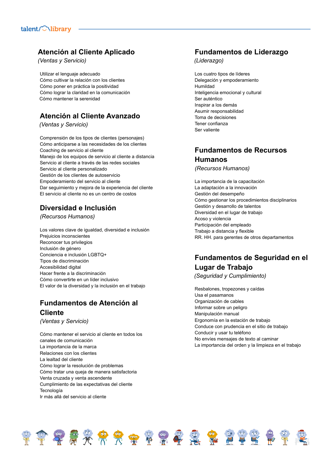## **Atención al Cliente Aplicado**

*(Ventas y Servicio)*

Utilizar el lenguaje adecuado Cómo cultivar la relación con los clientes Cómo poner en práctica la positividad Cómo lograr la claridad en la comunicación Cómo mantener la serenidad

## **Atención al Cliente Avanzado**

*(Ventas y Servicio)*

Comprensión de los tipos de clientes (personajes) Cómo anticiparse a las necesidades de los clientes Coaching de servicio al cliente Manejo de los equipos de servicio al cliente a distancia Servicio al cliente a través de las redes sociales Servicio al cliente personalizado Gestión de los clientes de autoservicio Empoderamiento del servicio al cliente Dar seguimiento y mejora de la experiencia del cliente El servicio al cliente no es un centro de costos

# **Diversidad e Inclusión**

*(Recursos Humanos)*

Los valores clave de igualdad, diversidad e inclusión Prejuicios inconscientes Reconocer tus privilegios Inclusión de género Conciencia e inclusión LGBTQ+ Tipos de discriminación Accesibilidad digital Hacer frente a la discriminación Cómo convertirte en un líder inclusivo El valor de la diversidad y la inclusión en el trabajo

## **Fundamentos de Atención al Cliente**

*(Ventas y Servicio)*

Cómo mantener el servicio al cliente en todos los canales de comunicación La importancia de la marca Relaciones con los clientes La lealtad del cliente Cómo lograr la resolución de problemas Cómo tratar una queja de manera satisfactoria Venta cruzada y venta ascendente Cumplimiento de las expectativas del cliente Tecnología Ir más allá del servicio al cliente

## **Fundamentos de Liderazgo**

*(Liderazgo)*

Los cuatro tipos de líderes Delegación y empoderamiento Humildad Inteligencia emocional y cultural Ser auténtico Inspirar a los demás Asumir responsabilidad Toma de decisiones Tener confianza Ser valiente

#### **Fundamentos de Recursos Humanos**

*(Recursos Humanos)*

La importancia de la capacitación La adaptación a la innovación Gestión del desempeño Cómo gestionar los procedimientos disciplinarios Gestión y desarrollo de talentos Diversidad en el lugar de trabajo Acoso y violencia Participación del empleado Trabajo a distancia y flexible RR. HH. para gerentes de otros departamentos

# **Fundamentos de Seguridad en el Lugar de Trabajo**

*(Seguridad y Cumplimiento)*

Resbalones, tropezones y caídas Usa el pasamanos Organización de cables Informar sobre un peligro Manipulación manual Ergonomía en la estación de trabajo Conduce con prudencia en el sitio de trabajo Conducir y usar tu teléfono No envíes mensajes de texto al caminar La importancia del orden y la limpieza en el trabajo

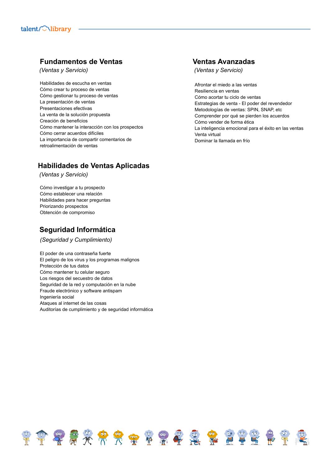## **Fundamentos de Ventas**

*(Ventas y Servicio)*

Habilidades de escucha en ventas Cómo crear tu proceso de ventas Cómo gestionar tu proceso de ventas La presentación de ventas Presentaciones efectivas La venta de la solución propuesta Creación de beneficios Cómo mantener la interacción con los prospectos Cómo cerrar acuerdos difíciles La importancia de compartir comentarios de retroalimentación de ventas

## **Habilidades de Ventas Aplicadas**

*(Ventas y Servicio)*

Cómo investigar a tu prospecto Cómo establecer una relación Habilidades para hacer preguntas Priorizando prospectos Obtención de compromiso

## **Seguridad Informática**

*(Seguridad y Cumplimiento)*

El poder de una contraseña fuerte El peligro de los virus y los programas malignos Protección de tus datos Cómo mantener tu celular seguro Los riesgos del secuestro de datos Seguridad de la red y computación en la nube Fraude electrónico y software antispam Ingeniería social Ataques al internet de las cosas Auditorías de cumplimiento y de seguridad informática

FTTTX FRTTTT

#### **Ventas Avanzadas**

*(Ventas y Servicio)*

Afrontar el miedo a las ventas Resiliencia en ventas Cómo acortar tu ciclo de ventas Estrategias de venta - El poder del revendedor Metodologías de ventas: SPIN, SNAP, etc Comprender por qué se pierden los acuerdos Cómo vender de forma ética La inteligencia emocional para el éxito en las ventas Venta virtual Dominar la llamada en frío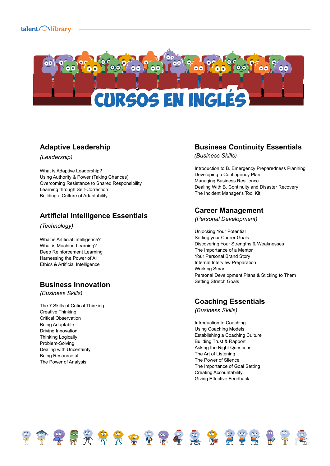

## **Adaptive Leadership**

*(Leadership)*

What is Adaptive Leadership? Using Authority & Power (Taking Chances) Overcoming Resistance to Shared Responsibility Learning through Self-Correction Building a Culture of Adaptability

## **Artificial Intelligence Essentials**

*(Technology)*

What is Artificial Intelligence? What is Machine Learning? Deep Reinforcement Learning Harnessing the Power of AI Ethics & Artificial Intelligence

#### **Business Innovation**

*(Business Skills)*

The 7 Skills of Critical Thinking Creative Thinking Critical Observation Being Adaptable Driving Innovation Thinking Logically Problem-Solving Dealing with Uncertainty Being Resourceful The Power of Analysis

## **Business Continuity Essentials**

*(Business Skills)*

Introduction to B. Emergency Preparedness Planning Developing a Contingency Plan Managing Business Resilience Dealing With B. Continuity and Disaster Recovery The Incident Manager's Tool Kit

## **Career Management**

*(Personal Development)*

Unlocking Your Potential Setting your Career Goals Discovering Your Strengths & Weaknesses The Importance of a Mentor Your Personal Brand Story Internal Interview Preparation Working Smart Personal Development Plans & Sticking to Them Setting Stretch Goals

#### **Coaching Essentials**

*(Business Skills)*

Introduction to Coaching Using Coaching Models Establishing a Coaching Culture Building Trust & Rapport Asking the Right Questions The Art of Listening The Power of Silence The Importance of Goal Setting Creating Accountability Giving Effective Feedback

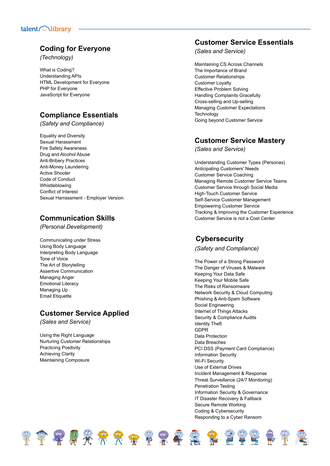## **Coding for Everyone**

*(Technology)*

What is Coding? Understanding A PIs HTML Development for Everyone PHP for Everyone JavaScript for Everyone

# **Compliance Essentials**

*(Safety and Compliance)*

Equality and Diversity Sexual Harassment Fire Safety Awareness Drug and Alcohol Abuse Anti-Bribery Practices Anti-Money Laundering Active Shooter Code of Conduct Whistleblowing Conflict of Interest Sexual Harrassment - Employer Version

## **Communication Skills**

*(Personal Development)*

Communicating under Stress Using Body Language Interpreting Body Language Tone of Voice The Art of Storytelling Assertive Communication Managing Anger Emotional Literacy Managing Up Email Etiquette

# **Customer Service Applied**

\*\*\*\*\*\*\*\*\*\*\*\*\*\*\*\*\*

*(Sales and Service)*

Using the Right Languag e Nurturing Customer Relationships Practicing Positivity Achieving Clarity Maintaining Composure

## **Customer Service Essentials**

*(Sales and Service)*

Maintaining CS Across Channels The Importance of Brand Customer Relationships Customer Loyalty Effective Problem Solving Handling Complaints Gracefully Cross-selling and Up-selling Managing Customer Expectations **Technology** Going beyond Customer Service

#### **Customer Service Mastery**

*(Sales and Service)*

Understanding Customer Types (Personas) Anticipating Customers' Needs Customer Service Coaching Managing Remote Customer Service Teams Customer Service through Social Media High-Touch Customer Service Self-Service Customer Management Empowering Customer Service Tracking & Improving the Customer Experience Customer Service is not a Cost Center

#### **Cybersecurity**

*(Safety and Compliance)*

The Power of a Strong Passwo r d The Danger of Viruses & Malware Keeping Your Data Safe Keeping Your Mobile Safe The Risks of Ransomware Network Security & Cloud Computing Phishing & Anti-Spam Software Social Engineering Internet of Things Attacks Security & Compliance Audits Identity Theft GDPR Data Protection Data Breaches PCI DSS (Payment Card Compliance) Information Security Wi-Fi Security Use of External Drives Incident Management & Response Threat Surveillance (24/7 Monitoring) Penetration Testing Information Security & Governance IT Disaster Recovery & Fallback Secure Remote Working Coding & Cybersecurity Responding to a Cyber Ransom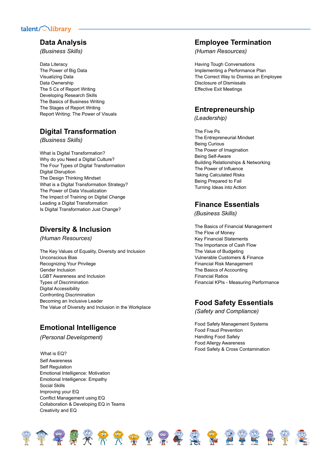## **Data Analysis**

*(Business Skills)*

Data Literacy The Power of Big Data Visualizing Data Data Ownership The 5 Cs of Report Writing Developing Research Skills The Basics of Business Writing The Stages of Report Writing Report Writing: The Power of Visuals

## **Digital Transformation**

*(Business Skills)*

What is Digital Transformation? Why do you Need a Digital Culture? The Four Types of Digital Transformation Digital Disruption The Design Thinking Mindset What is a Digital Transformation Strategy? The Power of Data Visualization The Impact of Training on Digital Change Leading a Digital Transformation Is Digital Transformation Just Change?

## **Diversity & Inclusion**

*(Human Resources)*

The Key Values of Equality, Diversity and Inclusion Unconscious Bias Recognizing Your Privilege Gender Inclusion LGBT Awareness and Inclusion Types of Discrimination Digital Accessibility Confronting Discrimination Becoming an Inclusive Leader The Value of Diversity and Inclusion in the Workplace

# **Emotional Intelligence**

*(Personal Development)*

What is EQ? Self Awareness Self Regulation Emotional Intelligence: Motivation Emotional Intelligence: Empathy Social Skills Improving your EQ Conflict Management using EQ Collaboration & Developing EQ in Teams Creativity and EQ

#### **Employee Termination**

*(Human Resources)*

Having Tough Conversations Implementing a Performance Plan The Correct Way to Dismiss an Employee Disclosure of Dismissals Effective Exit Meetings

## **Entrepreneurship**

*(Leadership)*

The Five Ps The Entrepreneurial Mindset Being Curious The Power of Imagination Being Self-Aware Building Relationships & Networking The Power of Influence Taking Calculated Risks Being Prepared to Fail Turning Ideas into Action

## **Finance Essentials**

*(Business Skills)*

The Basics of Financial Management The Flow of Money Key Financial Statements The Importance of Cash Flow The Value of Budgeting Vulnerable Customers & Finance Financial Risk Management The Basics of Accounting Financial Ratios Financial KPIs - Measuring Performance

#### **Food Safety Essentials**

*(Safety and Compliance)*

Food Safety Management Systems Food Fraud Prevention Handling Food Safely Food Allergy Awareness Food Safety & Cross Contamination

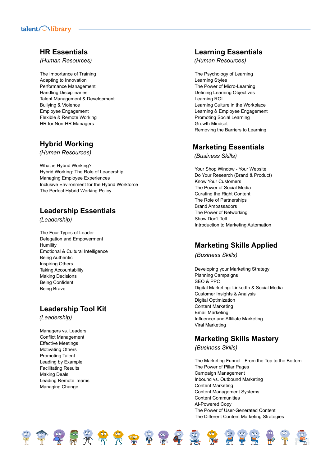#### **HR** Essentials

*(Human Resources)*

The Importance of Trainin g Adapting to Innovation Performance Management Handling Disciplinaries Talent Management & Development Bullying & Violence Employee Engagement Flexible & Remote Working HR for Non-HR Managers

## **Hybrid Working**

*(Human Resources)*

What is Hybrid Working? Hybrid Working: The Role of Leadership Managing Employee Experiences Inclusive Environment for the Hybrid Workforce The Perfect Hybrid Working Policy

## **Leadership Essentials**

*(Leadership)*

The Four Types of Leader Delegation and Empowerment **Humility** Emotional & Cultural Intelligence Being Authentic Inspiring Others Taking Accounta bilit y Making Decisions Being Confident B ein g B r a v e

## **Leadership Tool Kit**

*(Leadership)*

Managers vs. Leaders Conflict Management Effective Meetings Motivating Others Promoting Talent Leading by Example Facilitating Results Making Deals Leading Remote Teams Managing Change

## **Learning Essentials**

*(Human Resources)*

The Psychology of Learnin g Learning Styles The Power of Micro-Learning Defining Learning Objectives Learning ROI Learning Culture in the Workplace Learning & Employee Engagement Promoting Social Learning Growth Mindset Removing the Barriers to Learning

#### **Marketing Essentials**

*(Business Skills)*

Your Shop Window - Your Website Do Your Research (Brand & Product) Know Your Customers The Power of Social Media Curating the Right Content The Role of Partnerships Brand Ambassadors The Power of Networking Show Don't Tell Introduction to Marketing Automation

## **Marketing Skills Applied**

*(Business Skills)*

Developing your Marketing Strategy Planning Campaigns S E O & P P C Digital Marketing: LinkedIn & Social Media Customer Insights & Analysis Digital Optimization Content Marketing Email Marketing Influencer and Affiliate Marketing Viral Marketing

#### **Marketing Skills Mastery**

*(Business Skills)*

The Marketing Funnel - From the Top to the Bottom The Power of Pillar Pages Campaign Management Inbound vs. Outbound Marketing Content Marketing Content Management Systems Content Communities AI-Powered Copy The Power of User-Generated Content The Different Content Marketing Strategies

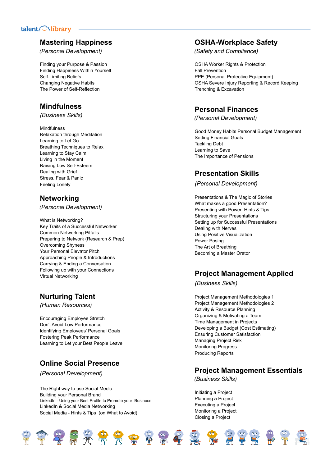## **Mastering Happiness**

*(Personal Development)*

Finding your Purpose & Passion Finding Happiness Within Yourself Self-Limiting Beliefs Changing Negative Habits The Power of Self-Reflection

#### **Mindfulness**

*(Business Skills)*

Mindfulness Relaxation through Meditation Learning to Let Go Breathing Techniques to Relax Learning to Stay Calm Living in the Moment Raising Low Self-Esteem Dealing with Grief Stress, Fear & Panic Feeling Lonely

## **Networking**

*(Personal Development)*

What is Networking? Key Traits of a Successful Networker Common Networking Pitfalls Preparing to Network (Research & Prep) Overcoming Shyness Your Personal Elevator Pitch Approaching People & Introductions Carrying & Ending a Conversation Following up with your Connections Virtual Networking

# **Nurturing Talent**

*(Human Resources)*

Encouraging Employee Stretch Don't Avoid Low Performance Identifying Employees' Personal Goals Fostering Peak Performance Learning to Let your Best People Leave

## **Online Social Presence**

*(Personal Development)*

The Right way to use Social Media Building your Personal Brand LinkedIn - Using your Best Profile to Promote your Business LinkedIn & Social Media Networking Social Media - Hints & Tips (on What to Avoid)

## **OSHA-Workplace Safety**

*(Safety and Compliance)*

OSHA Worker Rights & Protection Fall Prevention PPE (Personal Protective Equipment) OSHA Severe Injury Reporting & Record Keeping Trenching & Excavation

## **Personal Finances**

*(Personal Development)*

Good Money Habits Personal Budget Management Setting Financial Goals Tackling Debt Learning to Save The Importance of Pensions

## **Presentation Skills**

*(Personal Development)*

Presentations & The Magic of Stories What makes a good Presentation? Presenting with Power: Hints & Tips Structuring your Presentations Setting up for Successful Presentations Dealing with Nerves Using Positive Visualization Power Posing The Art of Breathing Becoming a Master Orator

#### **Project Management Applied**

*(Business Skills)*

Project Management Methodologies 1 Project Management Methodologies 2 Activity & Resource Planning Organizing & Motivating a Team Time Management in Projects Developing a Budget (Cost Estimating) Ensuring Customer Satisfaction Managing Project Risk Monitoring Progress Producing Reports

#### **Project Management Essentials**

*(Business Skills)*

Initiating a Project Planning a Project Executing a Project Monitoring a Project Closing a Project

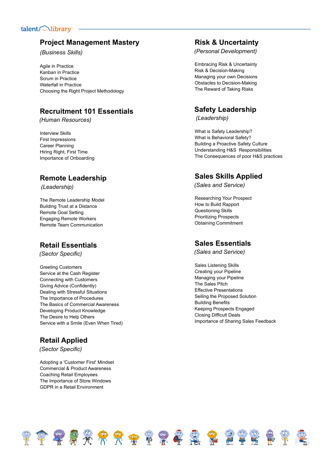#### **Project Management Mastery**

*(Business Skills)*

Agile in Practice Kanban in Practice Scrum in Practice Waterfall in Practice Choosing the Right Project Methodology

## **Recruitment 101 Essentials**

*(Human Resources)*

Interview Skills First Impressions Career Planning Hiring Right, First Time Importance of Onboarding

#### **Remote Leadership**

*(Leadership)*

The Remote Leadership Model Building Trust at a Distance Remote Goal Setting Engaging Remote Workers Remote Team Communication

#### **Retail Essentials**

*(Sector Specific)*

Greeting Customers Service at the Cash Register Connecting with Customers Giving Advice (Confidently) Dealing with Stressful Situations The Importance of Procedures The Basics of Commercial Awareness Developing Product Knowledge The Desire to Help Others Service with a Smile (Even When Tired)

#### **Retail Applied**

*(Sector Specific)*

Adopting a 'Customer First' Mindset Commercial & Product Awareness Coaching Retail Employees The Importance of Store Windows GDPR in a Retail Environment

#### **Risk & Uncertainty**

*(Personal Development)*

Embracing Risk & Uncertainty Risk & Decision-Making Managing your own Decisions Obstacles to Decision-Making The Reward of Taking Risks

## **Safety Leadership**

*(Leadership)*

What is Safety Leadership? What is Behavioral Safety? Building a Proactive Safety Culture Understanding H&S Responsibilities The Consequences of poor H&S practices

#### **Sales Skills Applied**

*(Sales and Service)*

Researching Your Prospect How to Build Rapport Questioning Skills Prioritizing Prospects Obtaining Commitment

#### **Sales Essentials**

*(Sales and Service)*

Sales Listening Skills Creating your Pipeline Managing your Pipeline The Sales Pitch Effective Presentations Selling the Proposed Solution Building Benefits Keeping Prospects Engaged Closing Difficult Deals Importance of Sharing Sales Feedback

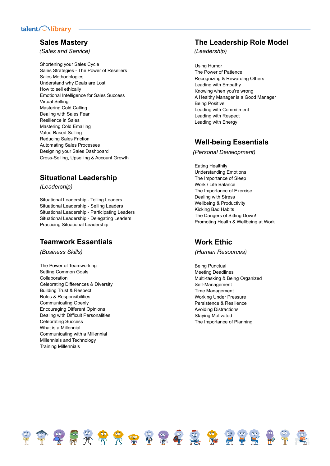#### **Sales Mastery**

*(Sales and Service)*

Shortening your Sales Cycle Sales Strategies - The Power of Resellers Sales Methodologies Understand why Deals are Lost How to sell ethically Emotional Intelligence for Sales Success Virtual Selling Mastering Cold Calling Dealing with Sales Fear Resilience in Sales Mastering Cold Emailing Value-Based Selling Reducing Sales Friction Automating Sales Processes Designing your Sales Dashboard Cross-Selling, Upselling & Account Growth

#### Situational Leadership

*(Leadership)*

Situational Leadership - Telling Leaders Situational Leadership - Selling Leaders Situational Leadership - Participating Leaders Situational Leadership - Delegating Leaders Practicing Situational Leadership

#### Teamwork Essentials

*(Business Skills)*

The Power of Teamworking Setting Common Goals Collaboration Celebrating Differences & Diversity Building Trust & Respect Roles & Responsibilities Communicating Openly Encouraging Different Opinions Dealing with Difficult Personalities Celebrating Success What is a Millennial Communicating with a Millennial Millennials and Technology Training Millennials

#### The Leadership Role Model

*(Leadership)*

Using Humor The Power of Patience Recognizing & Rewarding Others Leading with Empathy Knowing when you're wrong A Healthy Manager is a Good Manager B ein g P o sitiv e Leading with Commitment Leading with Respect Leading with Energy

## Well-being Essentials

*(Personal Development)*

Eating Healthily Understanding Emotions The Importance of Sleep Work / Life Balance The Importance of Exercise Dealing with Stress Wellbeing & Productivity Kicking Bad Habits The Dangers of Sitting Down! Promoting Health & Wellbeing at Work

#### **Work Ethic**

*(Human Resources)*

Being Punctual Meeting Deadlines Multi-tasking & Being Organized Self-Management Time Management Working Under Pressure Persistence & Resilience Avoiding Distractions Staying Motivated The Importance of Planning